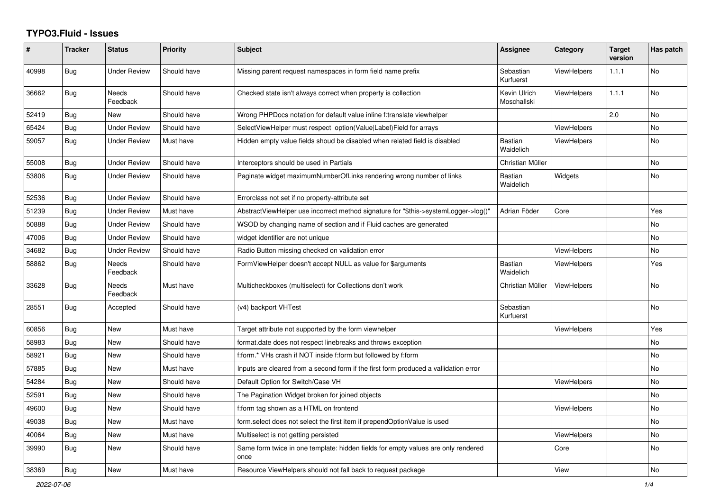## **TYPO3.Fluid - Issues**

| #     | <b>Tracker</b> | <b>Status</b>            | <b>Priority</b> | <b>Subject</b>                                                                            | Assignee                    | Category           | <b>Target</b><br>version | Has patch      |
|-------|----------------|--------------------------|-----------------|-------------------------------------------------------------------------------------------|-----------------------------|--------------------|--------------------------|----------------|
| 40998 | Bug            | Under Review             | Should have     | Missing parent request namespaces in form field name prefix                               | Sebastian<br>Kurfuerst      | <b>ViewHelpers</b> | 1.1.1                    | <b>No</b>      |
| 36662 | Bug            | <b>Needs</b><br>Feedback | Should have     | Checked state isn't always correct when property is collection                            | Kevin Ulrich<br>Moschallski | <b>ViewHelpers</b> | 1.1.1                    | <b>No</b>      |
| 52419 | Bug            | New                      | Should have     | Wrong PHPDocs notation for default value inline f:translate viewhelper                    |                             |                    | 2.0                      | N <sub>o</sub> |
| 65424 | <b>Bug</b>     | <b>Under Review</b>      | Should have     | SelectViewHelper must respect option(Value Label)Field for arrays                         |                             | ViewHelpers        |                          | No             |
| 59057 | Bug            | <b>Under Review</b>      | Must have       | Hidden empty value fields shoud be disabled when related field is disabled                | Bastian<br>Waidelich        | <b>ViewHelpers</b> |                          | No             |
| 55008 | Bug            | <b>Under Review</b>      | Should have     | Interceptors should be used in Partials                                                   | Christian Müller            |                    |                          | No             |
| 53806 | Bug            | <b>Under Review</b>      | Should have     | Paginate widget maximumNumberOfLinks rendering wrong number of links                      | <b>Bastian</b><br>Waidelich | Widgets            |                          | No             |
| 52536 | Bug            | <b>Under Review</b>      | Should have     | Errorclass not set if no property-attribute set                                           |                             |                    |                          |                |
| 51239 | <b>Bug</b>     | <b>Under Review</b>      | Must have       | AbstractViewHelper use incorrect method signature for "\$this->systemLogger->log()"       | Adrian Föder                | Core               |                          | Yes            |
| 50888 | <b>Bug</b>     | <b>Under Review</b>      | Should have     | WSOD by changing name of section and if Fluid caches are generated                        |                             |                    |                          | <b>No</b>      |
| 47006 | <b>Bug</b>     | <b>Under Review</b>      | Should have     | widget identifier are not unique                                                          |                             |                    |                          | <b>No</b>      |
| 34682 | Bug            | <b>Under Review</b>      | Should have     | Radio Button missing checked on validation error                                          |                             | ViewHelpers        |                          | <b>No</b>      |
| 58862 | Bug            | <b>Needs</b><br>Feedback | Should have     | FormViewHelper doesn't accept NULL as value for \$arguments                               | <b>Bastian</b><br>Waidelich | <b>ViewHelpers</b> |                          | Yes            |
| 33628 | Bug            | <b>Needs</b><br>Feedback | Must have       | Multicheckboxes (multiselect) for Collections don't work                                  | Christian Müller            | <b>ViewHelpers</b> |                          | No             |
| 28551 | Bug            | Accepted                 | Should have     | (v4) backport VHTest                                                                      | Sebastian<br>Kurfuerst      |                    |                          | <b>No</b>      |
| 60856 | <b>Bug</b>     | <b>New</b>               | Must have       | Target attribute not supported by the form viewhelper                                     |                             | <b>ViewHelpers</b> |                          | Yes            |
| 58983 | <b>Bug</b>     | <b>New</b>               | Should have     | format.date does not respect linebreaks and throws exception                              |                             |                    |                          | <b>No</b>      |
| 58921 | <b>Bug</b>     | <b>New</b>               | Should have     | f:form.* VHs crash if NOT inside f:form but followed by f:form                            |                             |                    |                          | <b>No</b>      |
| 57885 | Bug            | <b>New</b>               | Must have       | Inputs are cleared from a second form if the first form produced a vallidation error      |                             |                    |                          | <b>No</b>      |
| 54284 | <b>Bug</b>     | New                      | Should have     | Default Option for Switch/Case VH                                                         |                             | ViewHelpers        |                          | No             |
| 52591 | <b>Bug</b>     | New                      | Should have     | The Pagination Widget broken for joined objects                                           |                             |                    |                          | <b>No</b>      |
| 49600 | Bug            | New                      | Should have     | f:form tag shown as a HTML on frontend                                                    |                             | ViewHelpers        |                          | No.            |
| 49038 | <b>Bug</b>     | New                      | Must have       | form.select does not select the first item if prependOptionValue is used                  |                             |                    |                          | No             |
| 40064 | <b>Bug</b>     | New                      | Must have       | Multiselect is not getting persisted                                                      |                             | ViewHelpers        |                          | No             |
| 39990 | Bug            | New                      | Should have     | Same form twice in one template: hidden fields for empty values are only rendered<br>once |                             | Core               |                          | No             |
| 38369 | Bug            | New                      | Must have       | Resource ViewHelpers should not fall back to request package                              |                             | View               |                          | No             |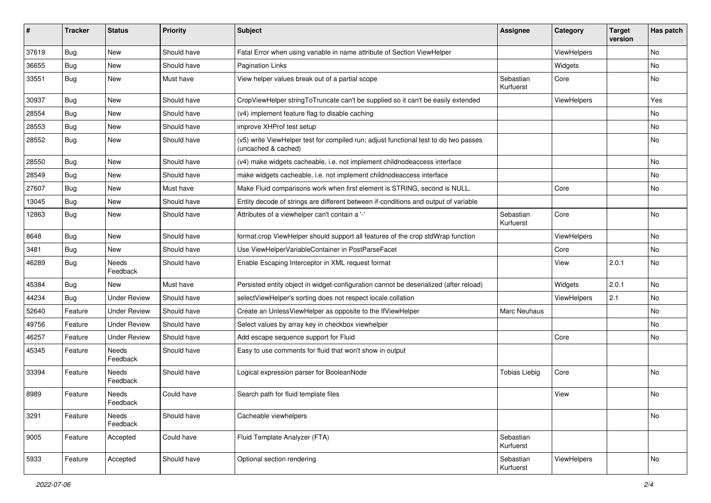| ∦     | <b>Tracker</b> | <b>Status</b>       | <b>Priority</b> | <b>Subject</b>                                                                                              | <b>Assignee</b>        | Category    | <b>Target</b><br>version | Has patch |
|-------|----------------|---------------------|-----------------|-------------------------------------------------------------------------------------------------------------|------------------------|-------------|--------------------------|-----------|
| 37619 | Bug            | New                 | Should have     | Fatal Error when using variable in name attribute of Section ViewHelper                                     |                        | ViewHelpers |                          | No        |
| 36655 | <b>Bug</b>     | New                 | Should have     | Pagination Links                                                                                            |                        | Widgets     |                          | No        |
| 33551 | <b>Bug</b>     | New                 | Must have       | View helper values break out of a partial scope                                                             | Sebastian<br>Kurfuerst | Core        |                          | No        |
| 30937 | Bug            | New                 | Should have     | CropViewHelper stringToTruncate can't be supplied so it can't be easily extended                            |                        | ViewHelpers |                          | Yes       |
| 28554 | Bug            | New                 | Should have     | (v4) implement feature flag to disable caching                                                              |                        |             |                          | No.       |
| 28553 | Bug            | New                 | Should have     | improve XHProf test setup                                                                                   |                        |             |                          | No        |
| 28552 | <b>Bug</b>     | New                 | Should have     | (v5) write ViewHelper test for compiled run; adjust functional test to do two passes<br>(uncached & cached) |                        |             |                          | No        |
| 28550 | Bug            | New                 | Should have     | (v4) make widgets cacheable, i.e. not implement childnodeaccess interface                                   |                        |             |                          | No        |
| 28549 | <b>Bug</b>     | New                 | Should have     | make widgets cacheable, i.e. not implement childnodeaccess interface                                        |                        |             |                          | No        |
| 27607 | Bug            | New                 | Must have       | Make Fluid comparisons work when first element is STRING, second is NULL.                                   |                        | Core        |                          | No        |
| 13045 | <b>Bug</b>     | New                 | Should have     | Entity decode of strings are different between if-conditions and output of variable                         |                        |             |                          |           |
| 12863 | <b>Bug</b>     | New                 | Should have     | Attributes of a viewhelper can't contain a '-'                                                              | Sebastian<br>Kurfuerst | Core        |                          | No        |
| 8648  | Bug            | New                 | Should have     | format.crop ViewHelper should support all features of the crop stdWrap function                             |                        | ViewHelpers |                          | No        |
| 3481  | Bug            | New                 | Should have     | Use ViewHelperVariableContainer in PostParseFacet                                                           |                        | Core        |                          | No        |
| 46289 | <b>Bug</b>     | Needs<br>Feedback   | Should have     | Enable Escaping Interceptor in XML request format                                                           |                        | View        | 2.0.1                    | No        |
| 45384 | Bug            | <b>New</b>          | Must have       | Persisted entity object in widget-configuration cannot be deserialized (after reload)                       |                        | Widgets     | 2.0.1                    | No        |
| 44234 | Bug            | <b>Under Review</b> | Should have     | selectViewHelper's sorting does not respect locale collation                                                |                        | ViewHelpers | 2.1                      | No        |
| 52640 | Feature        | <b>Under Review</b> | Should have     | Create an UnlessViewHelper as opposite to the IfViewHelper                                                  | <b>Marc Neuhaus</b>    |             |                          | No.       |
| 49756 | Feature        | <b>Under Review</b> | Should have     | Select values by array key in checkbox viewhelper                                                           |                        |             |                          | No        |
| 46257 | Feature        | <b>Under Review</b> | Should have     | Add escape sequence support for Fluid                                                                       |                        | Core        |                          | No        |
| 45345 | Feature        | Needs<br>Feedback   | Should have     | Easy to use comments for fluid that won't show in output                                                    |                        |             |                          |           |
| 33394 | Feature        | Needs<br>Feedback   | Should have     | Logical expression parser for BooleanNode                                                                   | <b>Tobias Liebig</b>   | Core        |                          | No        |
| 8989  | Feature        | Needs<br>Feedback   | Could have      | Search path for fluid template files                                                                        |                        | View        |                          | No        |
| 3291  | Feature        | Needs<br>Feedback   | Should have     | Cacheable viewhelpers                                                                                       |                        |             |                          | No        |
| 9005  | Feature        | Accepted            | Could have      | Fluid Template Analyzer (FTA)                                                                               | Sebastian<br>Kurfuerst |             |                          |           |
| 5933  | Feature        | Accepted            | Should have     | Optional section rendering                                                                                  | Sebastian<br>Kurfuerst | ViewHelpers |                          | No        |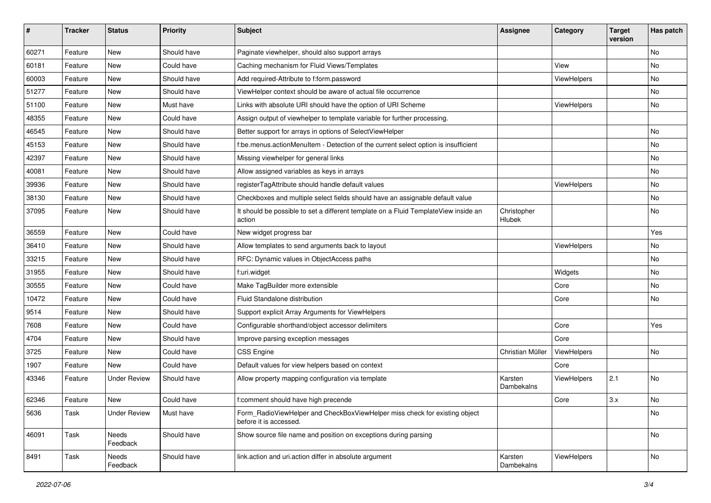| #     | <b>Tracker</b> | <b>Status</b>       | <b>Priority</b> | <b>Subject</b>                                                                                       | <b>Assignee</b>       | Category    | <b>Target</b><br>version | Has patch |
|-------|----------------|---------------------|-----------------|------------------------------------------------------------------------------------------------------|-----------------------|-------------|--------------------------|-----------|
| 60271 | Feature        | New                 | Should have     | Paginate viewhelper, should also support arrays                                                      |                       |             |                          | <b>No</b> |
| 60181 | Feature        | New                 | Could have      | Caching mechanism for Fluid Views/Templates                                                          |                       | View        |                          | No        |
| 60003 | Feature        | New                 | Should have     | Add required-Attribute to f:form.password                                                            |                       | ViewHelpers |                          | No        |
| 51277 | Feature        | New                 | Should have     | ViewHelper context should be aware of actual file occurrence                                         |                       |             |                          | No        |
| 51100 | Feature        | New                 | Must have       | Links with absolute URI should have the option of URI Scheme                                         |                       | ViewHelpers |                          | No        |
| 48355 | Feature        | New                 | Could have      | Assign output of viewhelper to template variable for further processing.                             |                       |             |                          |           |
| 46545 | Feature        | New                 | Should have     | Better support for arrays in options of SelectViewHelper                                             |                       |             |                          | No        |
| 45153 | Feature        | New                 | Should have     | f:be.menus.actionMenuItem - Detection of the current select option is insufficient                   |                       |             |                          | No        |
| 42397 | Feature        | New                 | Should have     | Missing viewhelper for general links                                                                 |                       |             |                          | No        |
| 40081 | Feature        | New                 | Should have     | Allow assigned variables as keys in arrays                                                           |                       |             |                          | No        |
| 39936 | Feature        | New                 | Should have     | registerTagAttribute should handle default values                                                    |                       | ViewHelpers |                          | <b>No</b> |
| 38130 | Feature        | New                 | Should have     | Checkboxes and multiple select fields should have an assignable default value                        |                       |             |                          | No        |
| 37095 | Feature        | New                 | Should have     | It should be possible to set a different template on a Fluid TemplateView inside an<br>action        | Christopher<br>Hlubek |             |                          | No        |
| 36559 | Feature        | New                 | Could have      | New widget progress bar                                                                              |                       |             |                          | Yes       |
| 36410 | Feature        | New                 | Should have     | Allow templates to send arguments back to layout                                                     |                       | ViewHelpers |                          | No        |
| 33215 | Feature        | New                 | Should have     | RFC: Dynamic values in ObjectAccess paths                                                            |                       |             |                          | No        |
| 31955 | Feature        | New                 | Should have     | f:uri.widget                                                                                         |                       | Widgets     |                          | No        |
| 30555 | Feature        | New                 | Could have      | Make TagBuilder more extensible                                                                      |                       | Core        |                          | <b>No</b> |
| 10472 | Feature        | New                 | Could have      | Fluid Standalone distribution                                                                        |                       | Core        |                          | No        |
| 9514  | Feature        | New                 | Should have     | Support explicit Array Arguments for ViewHelpers                                                     |                       |             |                          |           |
| 7608  | Feature        | New                 | Could have      | Configurable shorthand/object accessor delimiters                                                    |                       | Core        |                          | Yes       |
| 4704  | Feature        | New                 | Should have     | Improve parsing exception messages                                                                   |                       | Core        |                          |           |
| 3725  | Feature        | <b>New</b>          | Could have      | <b>CSS Engine</b>                                                                                    | Christian Müller      | ViewHelpers |                          | <b>No</b> |
| 1907  | Feature        | New                 | Could have      | Default values for view helpers based on context                                                     |                       | Core        |                          |           |
| 43346 | Feature        | <b>Under Review</b> | Should have     | Allow property mapping configuration via template                                                    | Karsten<br>Dambekalns | ViewHelpers | 2.1                      | No        |
| 62346 | Feature        | New                 | Could have      | f:comment should have high precende                                                                  |                       | Core        | 3.x                      | No        |
| 5636  | Task           | <b>Under Review</b> | Must have       | Form RadioViewHelper and CheckBoxViewHelper miss check for existing object<br>before it is accessed. |                       |             |                          | No        |
| 46091 | Task           | Needs<br>Feedback   | Should have     | Show source file name and position on exceptions during parsing                                      |                       |             |                          | No        |
| 8491  | Task           | Needs<br>Feedback   | Should have     | link.action and uri.action differ in absolute argument                                               | Karsten<br>Dambekalns | ViewHelpers |                          | No        |